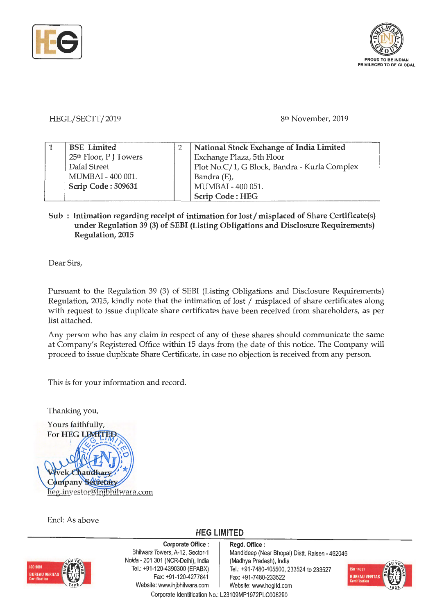



HEGL/SECTT/2019

8<sup>th</sup> November, 2019

| <b>BSE</b> Limited                 | National Stock Exchange of India Limited     |  |  |
|------------------------------------|----------------------------------------------|--|--|
| 25 <sup>th</sup> Floor, P J Towers | Exchange Plaza, 5th Floor                    |  |  |
| Dalal Street                       | Plot No.C/1, G Block, Bandra - Kurla Complex |  |  |
| MUMBAI - 400 001.                  | Bandra (E),                                  |  |  |
| Scrip Code: 509631                 | MUMBAI - 400 051.                            |  |  |
|                                    | Scrip Code: HEG                              |  |  |

## Sub : Intimation regarding receipt of intimation for lost/misplaced of Share Certificate(s) **under Regulation 39 (3) of SEBI (Listing Obligations and Disclosure Requirements) Regulation, 2015**

Dear Sirs,

Pursuant to the Regulation 39 (3) of SEBI (Listing Obligations and Disclosure Requirements) Regulation, 2015, kindly note that the intimation of lost/ misplaced of share certificates along with request to issue duplicate share certificates have been received from shareholders, as per list attached.

Any person who has any claim in respect of any of these shares should communicate the same at Company's Registered Office within 15 days from the date of this notice. The Company will proceed to issue duplicate Share Certificate, in case no objection is received from any person.

This is for your information and record.

Thanking you,



Encl: As above





**Corporate Office** : Bhilwara Towers, A-12, Sector-1 Noida • 201 301 (NCR-Delhi), India Tel.: +91-120-4390300 (EPABX) Fax: +91-120-4277841 Website: www.lnjbhilwara.com | Website: www.hegltd.com

**Regd. Office** : Mandideep (Near Bhopal) Distt. Raisen - 462046 (Madhya Pradesh), India Tel.: +91-7480-405500, 233524 to 233527 Fax: +91-7480-233522



Corporate Identification No.: L23109MP1972PLC008290